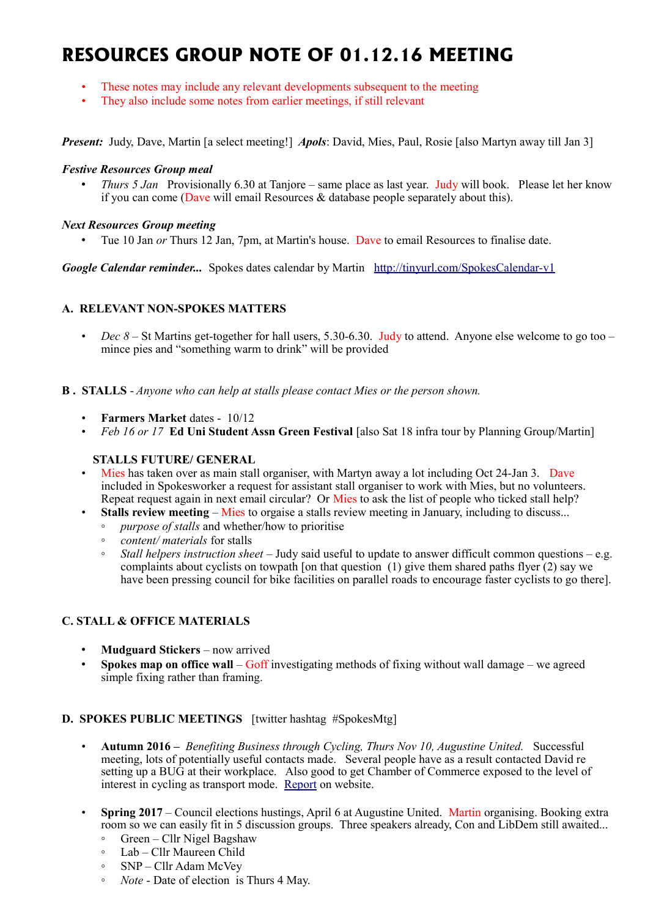# **RESOURCES GROUP NOTE OF 01.12.16 MEETING**

- These notes may include any relevant developments subsequent to the meeting
- They also include some notes from earlier meetings, if still relevant

*Present:* Judy, Dave, Martin [a select meeting!] *Apols*: David, Mies, Paul, Rosie [also Martyn away till Jan 3]

#### *Festive Resources Group meal*

*Thurs 5 Jan* Provisionally 6.30 at Tanjore – same place as last year. Judy will book. Please let her know if you can come (Dave will email Resources & database people separately about this).

#### *Next Resources Group meeting*

• Tue 10 Jan *or* Thurs 12 Jan, 7pm, at Martin's house. Dave to email Resources to finalise date.

*Google Calendar reminder...* Spokes dates calendar by Martin <http://tinyurl.com/SpokesCalendar-v1>

# **A. RELEVANT NON-SPOKES MATTERS**

• *Dec 8* – St Martins get-together for hall users, 5.30-6.30. Judy to attend. Anyone else welcome to go too – mince pies and "something warm to drink" will be provided

#### **B . STALLS** - *Anyone who can help at stalls please contact Mies or the person shown.*

- **Farmers Market** dates 10/12
- *Feb 16 or 17* **Ed Uni Student Assn Green Festival** [also Sat 18 infra tour by Planning Group/Martin]

#### **STALLS FUTURE/ GENERAL**

- Mies has taken over as main stall organiser, with Martyn away a lot including Oct 24-Jan 3. Dave included in Spokesworker a request for assistant stall organiser to work with Mies, but no volunteers. Repeat request again in next email circular? Or Mies to ask the list of people who ticked stall help?
- **Stalls review meeting** Mies to orgaise a stalls review meeting in January, including to discuss...
	- *purpose of stalls* and whether/how to prioritise
	- *content/ materials* for stalls
	- *Stall helpers instruction sheet*  Judy said useful to update to answer difficult common questions e.g. complaints about cyclists on towpath [on that question (1) give them shared paths flyer  $(2)$  say we have been pressing council for bike facilities on parallel roads to encourage faster cyclists to go there].

# **C. STALL & OFFICE MATERIALS**

- **Mudguard Stickers** now arrived
- **Spokes map on office wall** Goff investigating methods of fixing without wall damage we agreed simple fixing rather than framing.

#### **D. SPOKES PUBLIC MEETINGS** [twitter hashtag #SpokesMtg]

- **Autumn 2016 –** *Benefiting Business through Cycling, Thurs Nov 10, Augustine United.* Successful meeting, lots of potentially useful contacts made. Several people have as a result contacted David re setting up a BUG at their workplace. Also good to get Chamber of Commerce exposed to the level of interest in cycling as transport mode. [Report](http://www.spokes.org.uk/2016/11/benefiting-business-meeting-report/) on website.
- **Spring 2017** Council elections hustings, April 6 at Augustine United. Martin organising. Booking extra room so we can easily fit in 5 discussion groups. Three speakers already, Con and LibDem still awaited...
	- Green Cllr Nigel Bagshaw
	- Lab Cllr Maureen Child
	- SNP Cllr Adam McVey
	- *Note* Date of election is Thurs 4 May.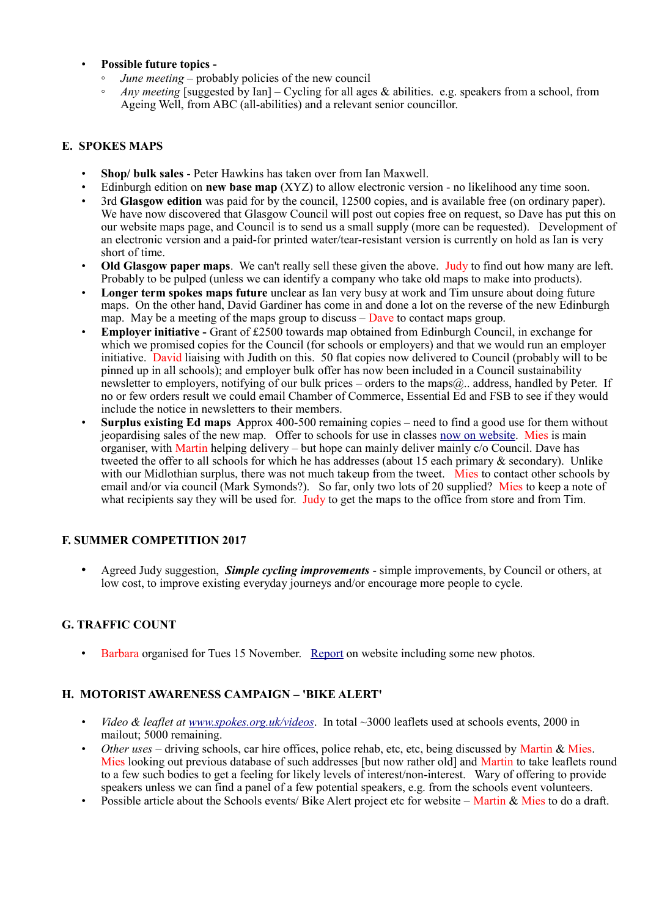# • **Possible future topics -**

- *June meeting* probably policies of the new council
- *Any meeting* [suggested by Ian] Cycling for all ages & abilities. e.g. speakers from a school, from Ageing Well, from ABC (all-abilities) and a relevant senior councillor.

# **E. SPOKES MAPS**

- **Shop/ bulk sales** Peter Hawkins has taken over from Ian Maxwell.
- Edinburgh edition on **new base map** (XYZ) to allow electronic version no likelihood any time soon.
- 3rd **Glasgow edition** was paid for by the council, 12500 copies, and is available free (on ordinary paper). We have now discovered that Glasgow Council will post out copies free on request, so Dave has put this on our website maps page, and Council is to send us a small supply (more can be requested). Development of an electronic version and a paid-for printed water/tear-resistant version is currently on hold as Ian is very short of time.
- **Old Glasgow paper maps**. We can't really sell these given the above. Judy to find out how many are left. Probably to be pulped (unless we can identify a company who take old maps to make into products).
- **Longer term spokes maps future** unclear as Ian very busy at work and Tim unsure about doing future maps. On the other hand, David Gardiner has come in and done a lot on the reverse of the new Edinburgh map. May be a meeting of the maps group to discuss  $-\overline{D}$  bave to contact maps group.
- **Employer initiative** Grant of £2500 towards map obtained from Edinburgh Council, in exchange for which we promised copies for the Council (for schools or employers) and that we would run an employer initiative. David liaising with Judith on this. 50 flat copies now delivered to Council (probably will to be pinned up in all schools); and employer bulk offer has now been included in a Council sustainability newsletter to employers, notifying of our bulk prices – orders to the maps@.. address, handled by Peter. If no or few orders result we could email Chamber of Commerce, Essential Ed and FSB to see if they would include the notice in newsletters to their members.
- **Surplus existing Ed maps A**pprox 400-500 remaining copies need to find a good use for them without jeopardising sales of the new map. Offer to schools for use in classes [now on website.](http://www.spokes.org.uk/spokes-maps/9th-edition-edinburgh-maps-schools-offer/) Mies is main organiser, with Martin helping delivery – but hope can mainly deliver mainly c/o Council. Dave has tweeted the offer to all schools for which he has addresses (about 15 each primary & secondary). Unlike with our Midlothian surplus, there was not much takeup from the tweet. Mies to contact other schools by email and/or via council (Mark Symonds?). So far, only two lots of 20 supplied? Mies to keep a note of what recipients say they will be used for. Judy to get the maps to the office from store and from Tim.

# **F. SUMMER COMPETITION 2017**

• Agreed Judy suggestion, *Simple cycling improvements* - simple improvements, by Council or others, at low cost, to improve existing everyday journeys and/or encourage more people to cycle.

# **G. TRAFFIC COUNT**

• Barbara organised for Tues 15 November. [Report](http://www.spokes.org.uk/2016/11/traffic-count-highest-ever-november-bike/) on website including some new photos.

# **H. MOTORIST AWARENESS CAMPAIGN – 'BIKE ALERT'**

- *Video & leaflet at [www.spokes.org.uk/videos](http://www.spokes.org.uk/videos)*. In total ~3000 leaflets used at schools events, 2000 in mailout; 5000 remaining.
- *Other uses* driving schools, car hire offices, police rehab, etc, etc, being discussed by Martin & Mies. Mies looking out previous database of such addresses [but now rather old] and Martin to take leaflets round to a few such bodies to get a feeling for likely levels of interest/non-interest. Wary of offering to provide speakers unless we can find a panel of a few potential speakers, e.g. from the schools event volunteers.
- Possible article about the Schools events/ Bike Alert project etc for website Martin & Mies to do a draft.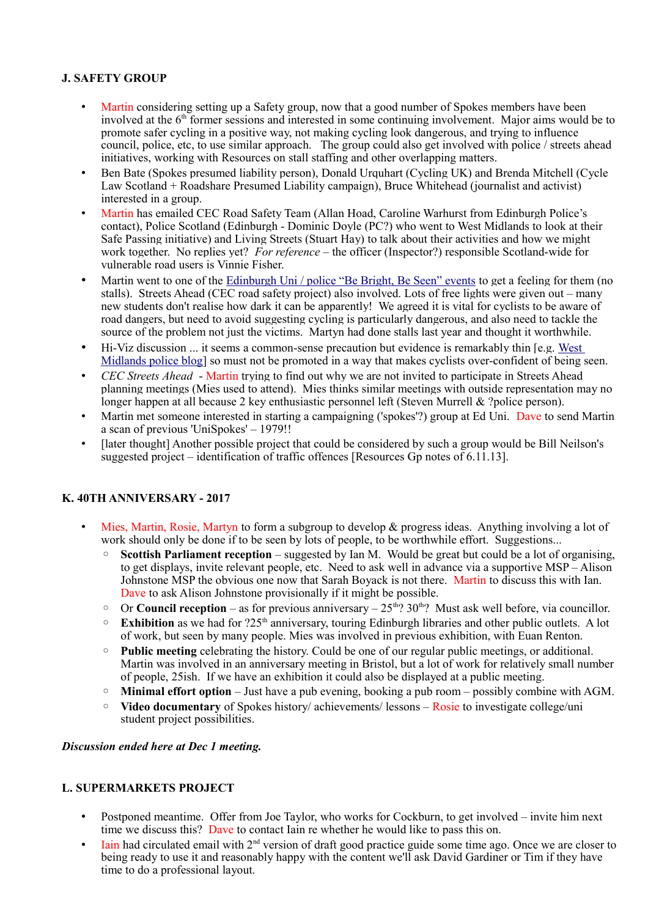# **J. SAFETY GROUP**

- Martin considering setting up a Safety group, now that a good number of Spokes members have been involved at the 6<sup>th</sup> former sessions and interested in some continuing involvement. Major aims would be to promote safer cycling in a positive way, not making cycling look dangerous, and trying to influence council, police, etc, to use similar approach. The group could also get involved with police / streets ahead initiatives, working with Resources on stall staffing and other overlapping matters.
- Ben Bate (Spokes presumed liability person), Donald Urquhart (Cycling UK) and Brenda Mitchell (Cycle Law Scotland + Roadshare Presumed Liability campaign), Bruce Whitehead (journalist and activist) interested in a group.
- Martin has emailed CEC Road Safety Team (Allan Hoad, Caroline Warhurst from Edinburgh Police's contact), Police Scotland (Edinburgh - Dominic Doyle (PC?) who went to West Midlands to look at their Safe Passing initiative) and Living Streets (Stuart Hay) to talk about their activities and how we might work together. No replies yet? *For reference* – the officer (Inspector?) responsible Scotland-wide for vulnerable road users is Vinnie Fisher.
- Martin went to one of the [Edinburgh Uni / police "Be Bright, Be Seen" events](http://www.ed.ac.uk/transport/news/be-bright-be-seen-and-what-cyclist) to get a feeling for them (no stalls). Streets Ahead (CEC road safety project) also involved. Lots of free lights were given out – many new students don't realise how dark it can be apparently! We agreed it is vital for cyclists to be aware of road dangers, but need to avoid suggesting cycling is particularly dangerous, and also need to tackle the source of the problem not just the victims. Martyn had done stalls last year and thought it worthwhile.
- Hi-Viz discussion ... it seems a common-sense precaution but evidence is remarkably thin [e.g. [West](https://trafficwmp.wordpress.com/)  [Midlands police blog\]](https://trafficwmp.wordpress.com/) so must not be promoted in a way that makes cyclists over-confident of being seen.
- *CEC Streets Ahead* Martin trying to find out why we are not invited to participate in Streets Ahead planning meetings (Mies used to attend). Mies thinks similar meetings with outside representation may no longer happen at all because 2 key enthusiastic personnel left (Steven Murrell & ?police person).
- Martin met someone interested in starting a campaigning ('spokes'?) group at Ed Uni. Dave to send Martin a scan of previous 'UniSpokes' – 1979!!
- [later thought] Another possible project that could be considered by such a group would be Bill Neilson's suggested project – identification of traffic offences [Resources Gp notes of 6.11.13].

#### **K. 40TH ANNIVERSARY - 2017**

- Mies, Martin, Rosie, Martyn to form a subgroup to develop & progress ideas. Anything involving a lot of work should only be done if to be seen by lots of people, to be worthwhile effort. Suggestions...
	- **Scottish Parliament reception** suggested by Ian M. Would be great but could be a lot of organising, to get displays, invite relevant people, etc. Need to ask well in advance via a supportive MSP – Alison Johnstone MSP the obvious one now that Sarah Boyack is not there. Martin to discuss this with Ian. Dave to ask Alison Johnstone provisionally if it might be possible.
	- $\degree$  Or **Council reception** as for previous anniversary  $25<sup>th</sup>$ ? 30<sup>th</sup>? Must ask well before, via councillor.
	- **Exhibition** as we had for ?25th anniversary, touring Edinburgh libraries and other public outlets. A lot of work, but seen by many people. Mies was involved in previous exhibition, with Euan Renton.
	- **Public meeting** celebrating the history. Could be one of our regular public meetings, or additional. Martin was involved in an anniversary meeting in Bristol, but a lot of work for relatively small number of people, 25ish. If we have an exhibition it could also be displayed at a public meeting.
	- **Minimal effort option** Just have a pub evening, booking a pub room possibly combine with AGM.
	- **Video documentary** of Spokes history/ achievements/ lessons Rosie to investigate college/uni student project possibilities.

#### *Discussion ended here at Dec 1 meeting.*

#### **L. SUPERMARKETS PROJECT**

- Postponed meantime. Offer from Joe Taylor, who works for Cockburn, to get involved invite him next time we discuss this? Dave to contact Iain re whether he would like to pass this on.
- Iain had circulated email with 2nd version of draft good practice guide some time ago. Once we are closer to being ready to use it and reasonably happy with the content we'll ask David Gardiner or Tim if they have time to do a professional layout.